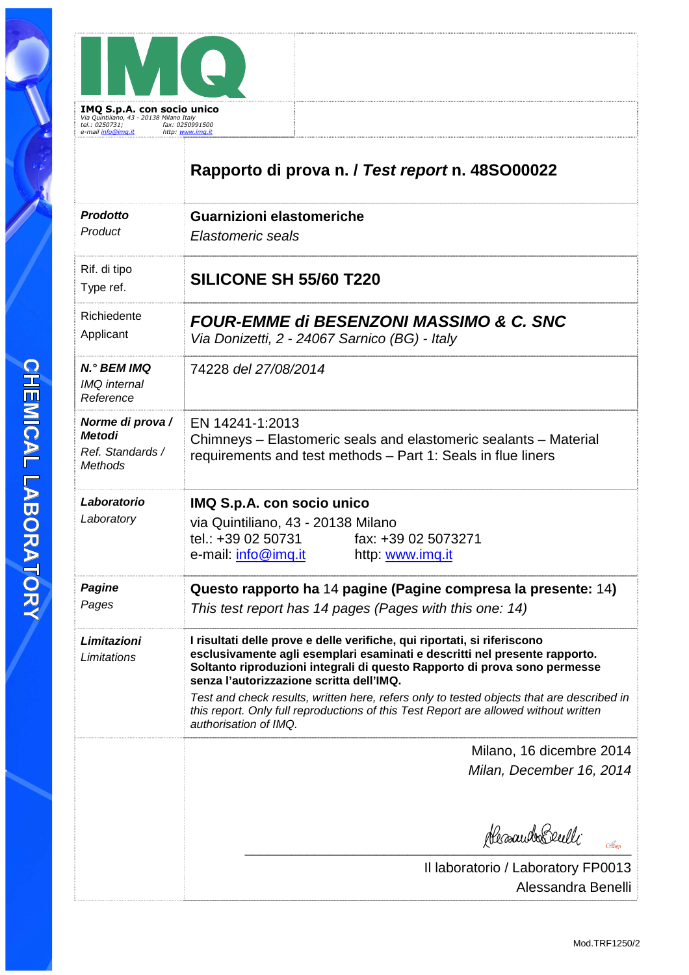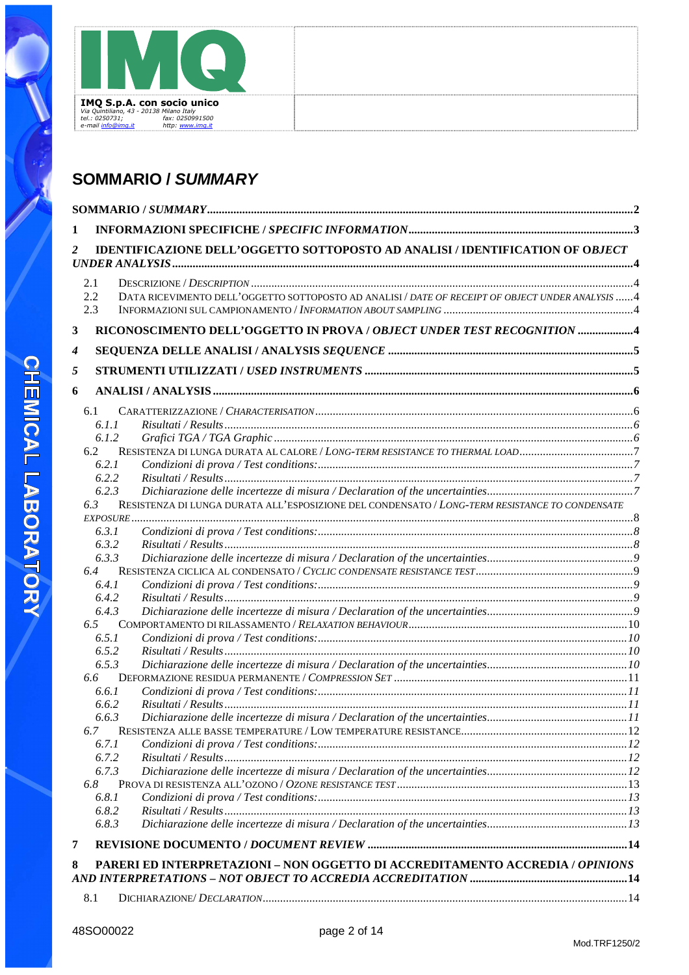

# **SOMMARIO / SUMMARY**

| 1 |              |                                                                                                  |  |
|---|--------------|--------------------------------------------------------------------------------------------------|--|
| 2 |              | IDENTIFICAZIONE DELL'OGGETTO SOTTOPOSTO AD ANALISI / IDENTIFICATION OF OBJECT                    |  |
|   | 2.1          |                                                                                                  |  |
|   | 2.2<br>2.3   | DATA RICEVIMENTO DELL'OGGETTO SOTTOPOSTO AD ANALISI / DATE OF RECEIPT OF OBJECT UNDER ANALYSIS 4 |  |
| 3 |              | RICONOSCIMENTO DELL'OGGETTO IN PROVA / OBJECT UNDER TEST RECOGNITION 4                           |  |
| 4 |              |                                                                                                  |  |
| 5 |              |                                                                                                  |  |
|   |              |                                                                                                  |  |
| 6 |              |                                                                                                  |  |
|   | 6.1          |                                                                                                  |  |
|   | 6.1.1        |                                                                                                  |  |
|   | 6.1.2        |                                                                                                  |  |
|   | 6.2          | RESISTENZA DI LUNGA DURATA AL CALORE / LONG-TERM RESISTANCE TO THERMAL LOAD7                     |  |
|   | 6.2.1        |                                                                                                  |  |
|   | 6.2.2        |                                                                                                  |  |
|   | 6.2.3        |                                                                                                  |  |
|   | 6.3          | RESISTENZA DI LUNGA DURATA ALL'ESPOSIZIONE DEL CONDENSATO / LONG-TERM RESISTANCE TO CONDENSATE   |  |
|   |              |                                                                                                  |  |
|   | 6.3.1        |                                                                                                  |  |
|   | 6.3.2        |                                                                                                  |  |
|   | 6.3.3        |                                                                                                  |  |
|   | 6.4<br>6.4.1 |                                                                                                  |  |
|   | 6.4.2        |                                                                                                  |  |
|   | 6.4.3        |                                                                                                  |  |
|   | 6.5          |                                                                                                  |  |
|   | 6.5.1        |                                                                                                  |  |
|   | 6.5.2        |                                                                                                  |  |
|   | 6.5.3        |                                                                                                  |  |
|   | 6.6          |                                                                                                  |  |
|   | 6.6.1        |                                                                                                  |  |
|   | 6.6.2        |                                                                                                  |  |
|   | 6.6.3        |                                                                                                  |  |
|   | 6.7          |                                                                                                  |  |
|   | 6.7.1        |                                                                                                  |  |
|   | 6.7.2        |                                                                                                  |  |
|   | 6.7.3        |                                                                                                  |  |
|   | 6.8          |                                                                                                  |  |
|   | 6.8.1        |                                                                                                  |  |
|   | 6.8.2        |                                                                                                  |  |
|   | 6.8.3        |                                                                                                  |  |
| 7 |              |                                                                                                  |  |
| 8 |              | PARERI ED INTERPRETAZIONI - NON OGGETTO DI ACCREDITAMENTO ACCREDIA / OPINIONS                    |  |
|   |              |                                                                                                  |  |
|   | 8.1          |                                                                                                  |  |
|   |              |                                                                                                  |  |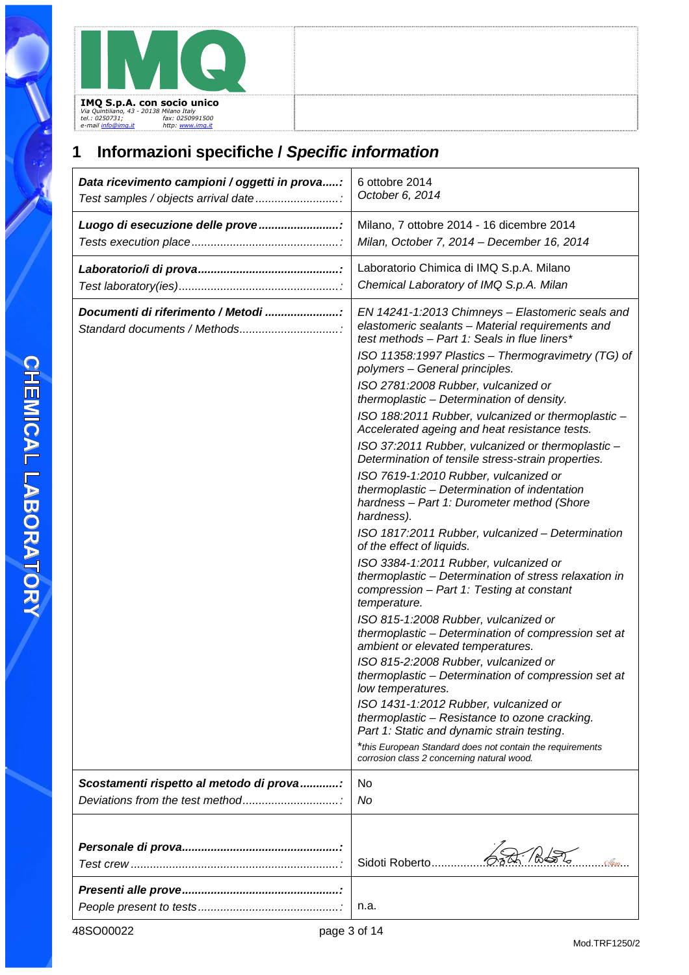# **1 Informazioni specifiche / Specific information**

| Data ricevimento campioni / oggetti in prova:<br>Test samples / objects arrival date | 6 ottobre 2014<br>October 6, 2014                                                                                                                                                                          |
|--------------------------------------------------------------------------------------|------------------------------------------------------------------------------------------------------------------------------------------------------------------------------------------------------------|
| Luogo di esecuzione delle prove                                                      | Milano, 7 ottobre 2014 - 16 dicembre 2014<br>Milan, October 7, 2014 - December 16, 2014                                                                                                                    |
|                                                                                      | Laboratorio Chimica di IMQ S.p.A. Milano<br>Chemical Laboratory of IMQ S.p.A. Milan                                                                                                                        |
| Documenti di riferimento / Metodi<br>Standard documents / Methods                    | EN 14241-1:2013 Chimneys - Elastomeric seals and<br>elastomeric sealants - Material requirements and<br>test methods - Part 1: Seals in flue liners*<br>ISO 11358:1997 Plastics - Thermogravimetry (TG) of |
|                                                                                      | polymers - General principles.<br>ISO 2781:2008 Rubber, vulcanized or                                                                                                                                      |
|                                                                                      | thermoplastic - Determination of density.<br>ISO 188:2011 Rubber, vulcanized or thermoplastic -<br>Accelerated ageing and heat resistance tests.                                                           |
|                                                                                      | ISO 37:2011 Rubber, vulcanized or thermoplastic -<br>Determination of tensile stress-strain properties.                                                                                                    |
|                                                                                      | ISO 7619-1:2010 Rubber, vulcanized or<br>thermoplastic - Determination of indentation<br>hardness - Part 1: Durometer method (Shore<br>hardness).                                                          |
|                                                                                      | ISO 1817:2011 Rubber, vulcanized - Determination<br>of the effect of liquids.                                                                                                                              |
|                                                                                      | ISO 3384-1:2011 Rubber, vulcanized or<br>thermoplastic - Determination of stress relaxation in<br>compression - Part 1: Testing at constant<br>temperature.                                                |
|                                                                                      | ISO 815-1:2008 Rubber, vulcanized or<br>thermoplastic - Determination of compression set at<br>ambient or elevated temperatures.                                                                           |
|                                                                                      | ISO 815-2:2008 Rubber, vulcanized or<br>thermoplastic - Determination of compression set at<br>low temperatures.                                                                                           |
|                                                                                      | ISO 1431-1:2012 Rubber, vulcanized or<br>thermoplastic - Resistance to ozone cracking.<br>Part 1: Static and dynamic strain testing.                                                                       |
|                                                                                      | *this European Standard does not contain the requirements<br>corrosion class 2 concerning natural wood.                                                                                                    |
| Scostamenti rispetto al metodo di prova                                              | No                                                                                                                                                                                                         |
|                                                                                      | No                                                                                                                                                                                                         |
|                                                                                      |                                                                                                                                                                                                            |
|                                                                                      | Sidoti Roberto                                                                                                                                                                                             |
|                                                                                      | n.a.                                                                                                                                                                                                       |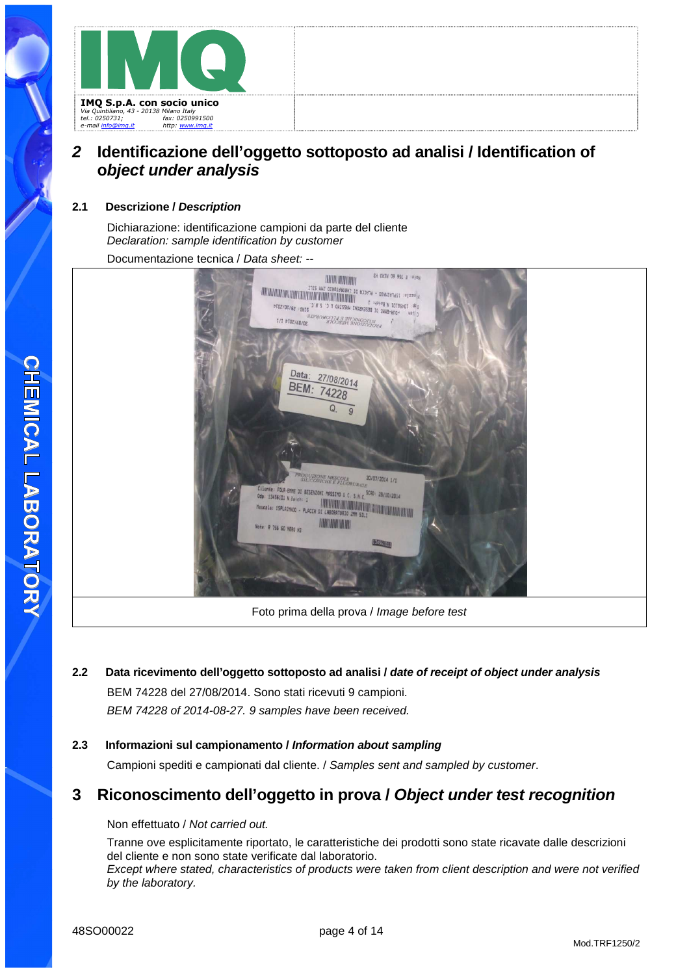

### **2 Identificazione dell'oggetto sottoposto ad analisi / Identification of object under analysis**

#### **2.1 Descrizione / Description**

Dichiarazione: identificazione campioni da parte del cliente Declaration: sample identification by customer

Documentazione tecnica / Data sheet: --



- **2.2 Data ricevimento dell'oggetto sottoposto ad analisi / date of receipt of object under analysis** BEM 74228 del 27/08/2014. Sono stati ricevuti 9 campioni. BEM 74228 of 2014-08-27. 9 samples have been received.
- **2.3 Informazioni sul campionamento / Information about sampling** Campioni spediti e campionati dal cliente. / Samples sent and sampled by customer.

### **3 Riconoscimento dell'oggetto in prova / Object under test recognition**

Non effettuato / Not carried out.

Tranne ove esplicitamente riportato, le caratteristiche dei prodotti sono state ricavate dalle descrizioni del cliente e non sono state verificate dal laboratorio.

Except where stated, characteristics of products were taken from client description and were not verified by the laboratory.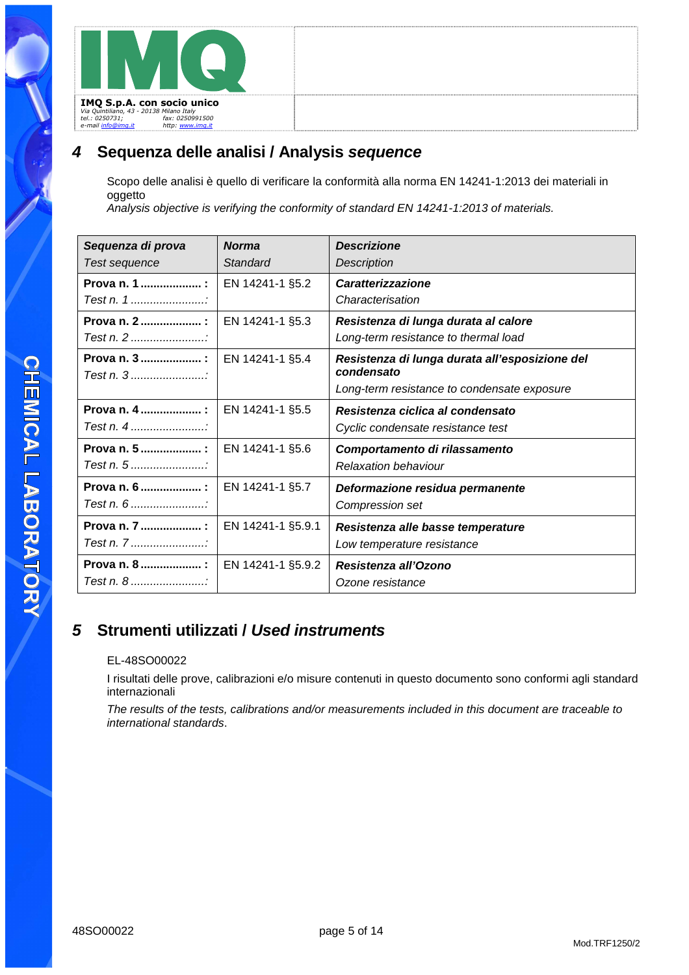### **4 Sequenza delle analisi / Analysis sequence**

Scopo delle analisi è quello di verificare la conformità alla norma EN 14241-1:2013 dei materiali in oggetto

Analysis objective is verifying the conformity of standard EN 14241-1:2013 of materials.

| Sequenza di prova | <b>Norma</b>      | <b>Descrizione</b>                                           |
|-------------------|-------------------|--------------------------------------------------------------|
| Test sequence     | Standard          | Description                                                  |
| Prova n. 1  :     | EN 14241-1 §5.2   | <b>Caratterizzazione</b>                                     |
|                   |                   | Characterisation                                             |
| Prova n. 2  :     | EN 14241-1 §5.3   | Resistenza di lunga durata al calore                         |
| Test n. 2         |                   | Long-term resistance to thermal load                         |
| Prova n. 3 :      | EN 14241-1 §5.4   | Resistenza di lunga durata all'esposizione del<br>condensato |
|                   |                   | Long-term resistance to condensate exposure                  |
| Prova n. 4        | EN 14241-1 §5.5   | Resistenza ciclica al condensato                             |
| Test n. $4$       |                   | Cyclic condensate resistance test                            |
| Prova n. 5  :     | EN 14241-1 §5.6   | Comportamento di rilassamento                                |
|                   |                   | <b>Relaxation behaviour</b>                                  |
| Prova n. 6  :     | EN 14241-1 §5.7   | Deformazione residua permanente                              |
|                   |                   | Compression set                                              |
| Prova n. 7  :     | EN 14241-1 §5.9.1 | Resistenza alle basse temperature                            |
| Test n. 7         |                   | Low temperature resistance                                   |
| Prova n. 8  :     | EN 14241-1 §5.9.2 | Resistenza all'Ozono                                         |
|                   |                   | Ozone resistance                                             |

# **5 Strumenti utilizzati / Used instruments**

#### EL-48SO00022

I risultati delle prove, calibrazioni e/o misure contenuti in questo documento sono conformi agli standard internazionali

The results of the tests, calibrations and/or measurements included in this document are traceable to international standards.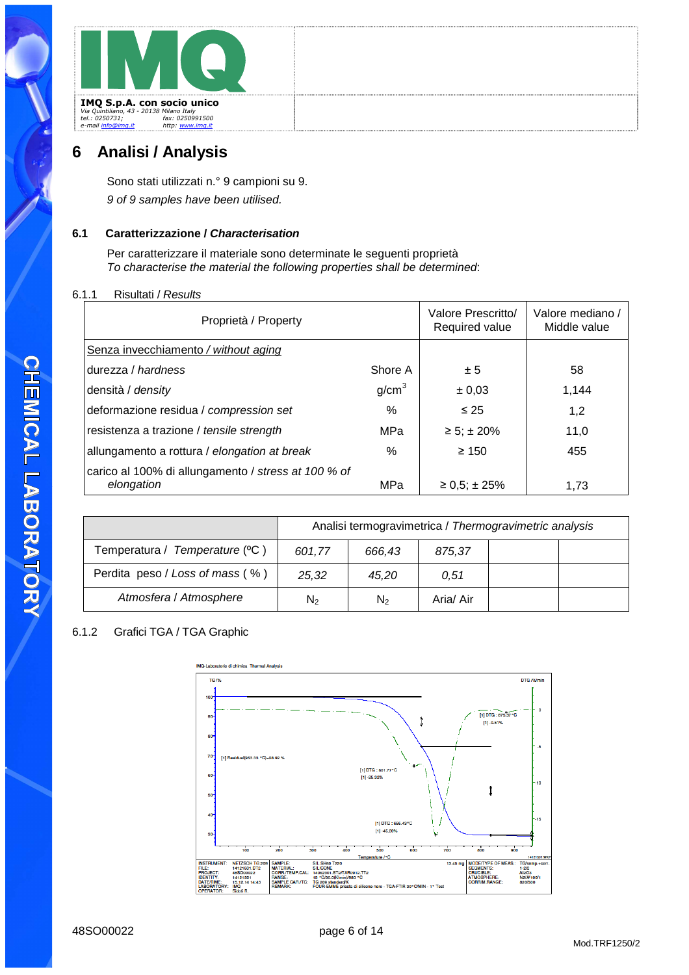# **6 Analisi / Analysis**

Sono stati utilizzati n.° 9 campioni su 9. 9 of 9 samples have been utilised.

#### **6.1 Caratterizzazione / Characterisation**

Per caratterizzare il materiale sono determinate le seguenti proprietà To characterise the material the following properties shall be determined:

#### 6.1.1 Risultati / Results

| Proprietà / Property                                              |                   | Valore Prescritto/<br>Required value | Valore mediano /<br>Middle value |
|-------------------------------------------------------------------|-------------------|--------------------------------------|----------------------------------|
| Senza invecchiamento / without aging                              |                   |                                      |                                  |
| durezza / hardness                                                | Shore A           | ± 5                                  | 58                               |
| densità / density                                                 | g/cm <sup>3</sup> | ± 0,03                               | 1,144                            |
| deformazione residua / compression set                            | $\%$              | $\leq 25$                            | 1,2                              |
| resistenza a trazione / tensile strength                          | <b>MPa</b>        | $\ge 5$ ; ± 20%                      | 11,0                             |
| allungamento a rottura / elongation at break                      | $\%$              | $\geq 150$                           | 455                              |
| carico al 100% di allungamento / stress at 100 % of<br>elongation | MPa               | $\geq 0.5$ ; ± 25%                   | 1,73                             |

|                                 | Analisi termogravimetrica / Thermogravimetric analysis |                |           |  |  |
|---------------------------------|--------------------------------------------------------|----------------|-----------|--|--|
| Temperatura / Temperature (°C)  | 601.77                                                 | 666,43         | 875,37    |  |  |
| Perdita peso / Loss of mass (%) | 25,32                                                  | 45.20          | 0,51      |  |  |
| Atmosfera / Atmosphere          | $N_{2}$                                                | N <sub>2</sub> | Aria/ Air |  |  |

#### 6.1.2 Grafici TGA / TGA Graphic

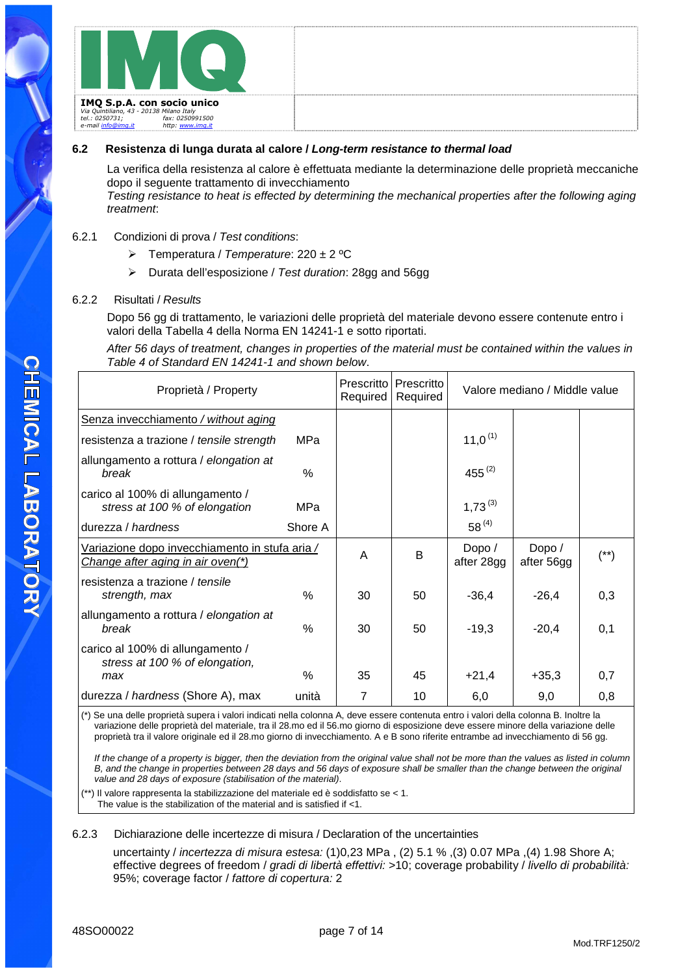#### **6.2 Resistenza di lunga durata al calore / Long-term resistance to thermal load**

La verifica della resistenza al calore è effettuata mediante la determinazione delle proprietà meccaniche dopo il seguente trattamento di invecchiamento Testing resistance to heat is effected by determining the mechanical properties after the following aging treatment:

#### 6.2.1 Condizioni di prova / Test conditions:

- $\triangleright$  Temperatura / Temperature: 220 ± 2 °C
- Durata dell'esposizione / Test duration: 28gg and 56gg

#### 6.2.2 Risultati / Results

Dopo 56 gg di trattamento, le variazioni delle proprietà del materiale devono essere contenute entro i valori della Tabella 4 della Norma EN 14241-1 e sotto riportati.

After 56 days of treatment, changes in properties of the material must be contained within the values in Table 4 of Standard EN 14241-1 and shown below.

| Proprietà / Property                                                                |         | Prescritto<br>Required | Prescritto<br>Required |                      | Valore mediano / Middle value |      |
|-------------------------------------------------------------------------------------|---------|------------------------|------------------------|----------------------|-------------------------------|------|
| Senza invecchiamento / without aging                                                |         |                        |                        |                      |                               |      |
| resistenza a trazione / tensile strength                                            | MPa     |                        |                        | $11,0^{(1)}$         |                               |      |
| allungamento a rottura / elongation at<br>break                                     | $\%$    |                        |                        | 455 $(2)$            |                               |      |
| carico al 100% di allungamento /<br>stress at 100 % of elongation                   | MPa     |                        |                        | $1,73^{(3)}$         |                               |      |
| durezza / hardness                                                                  | Shore A |                        |                        | $58^{(4)}$           |                               |      |
| Variazione dopo invecchiamento in stufa aria /<br>Change after aging in air oven(*) |         | A                      | B                      | Dopo /<br>after 28gg | Dopo /<br>after 56gg          | (**) |
| resistenza a trazione / tensile<br>strength, max                                    | %       | 30                     | 50                     | $-36,4$              | $-26,4$                       | 0,3  |
| allungamento a rottura / elongation at<br>break                                     | $\%$    | 30                     | 50                     | $-19,3$              | $-20,4$                       | 0,1  |
| carico al 100% di allungamento /<br>stress at 100 % of elongation,                  |         |                        |                        |                      |                               |      |
| max                                                                                 | $\%$    | 35                     | 45                     | $+21,4$              | $+35,3$                       | 0,7  |
| durezza / hardness (Shore A), max                                                   | unità   | 7                      | 10                     | 6,0                  | 9,0                           | 0,8  |

(\*) Se una delle proprietà supera i valori indicati nella colonna A, deve essere contenuta entro i valori della colonna B. Inoltre la variazione delle proprietà del materiale, tra il 28.mo ed il 56.mo giorno di esposizione deve essere minore della variazione delle proprietà tra il valore originale ed il 28.mo giorno di invecchiamento. A e B sono riferite entrambe ad invecchiamento di 56 gg.

If the change of a property is bigger, then the deviation from the original value shall not be more than the values as listed in column B, and the change in properties between 28 days and 56 days of exposure shall be smaller than the change between the original value and 28 days of exposure (stabilisation of the material).

(\*\*) Il valore rappresenta la stabilizzazione del materiale ed è soddisfatto se < 1. The value is the stabilization of the material and is satisfied if <1.

#### 6.2.3 Dichiarazione delle incertezze di misura / Declaration of the uncertainties

uncertainty / incertezza di misura estesa: (1)0,23 MPa, (2) 5.1 %, (3) 0.07 MPa, (4) 1.98 Shore A; effective degrees of freedom / gradi di libertà effettivi: >10; coverage probability / livello di probabilità: 95%; coverage factor / fattore di copertura: 2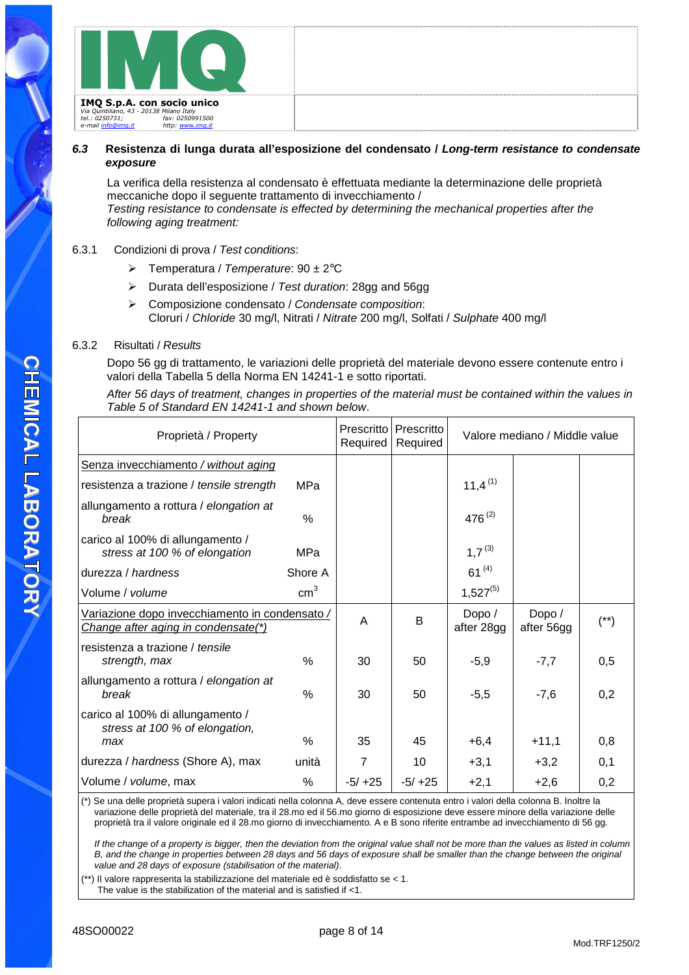#### **6.3 Resistenza di lunga durata all'esposizione del condensato / Long-term resistance to condensate exposure**

La verifica della resistenza al condensato è effettuata mediante la determinazione delle proprietà meccaniche dopo il seguente trattamento di invecchiamento / Testing resistance to condensate is effected by determining the mechanical properties after the following aging treatment:

#### 6.3.1 Condizioni di prova / Test conditions:

- $\triangleright$  Temperatura / Temperature: 90 ± 2°C
- Durata dell'esposizione / Test duration: 28gg and 56gg
- $\triangleright$  Composizione condensato / Condensate composition: Cloruri / Chloride 30 mg/l, Nitrati / Nitrate 200 mg/l, Solfati / Sulphate 400 mg/l

#### 6.3.2 Risultati / Results

Dopo 56 gg di trattamento, le variazioni delle proprietà del materiale devono essere contenute entro i valori della Tabella 5 della Norma EN 14241-1 e sotto riportati.

After 56 days of treatment, changes in properties of the material must be contained within the values in Table 5 of Standard EN 14241-1 and shown below.

| Proprietà / Property                                                                  |                 | Prescritto<br>Required | Prescritto<br>Required | Valore mediano / Middle value |                      |        |
|---------------------------------------------------------------------------------------|-----------------|------------------------|------------------------|-------------------------------|----------------------|--------|
| Senza invecchiamento / without aging                                                  |                 |                        |                        |                               |                      |        |
| resistenza a trazione / tensile strength                                              | MPa             |                        |                        | 11,4 $(1)$                    |                      |        |
| allungamento a rottura / elongation at<br>break                                       | $\%$            |                        |                        | $476^{(2)}$                   |                      |        |
| carico al 100% di allungamento /<br>stress at 100 % of elongation                     | MPa             |                        |                        | $1,7^{(3)}$                   |                      |        |
| durezza / hardness                                                                    | Shore A         |                        |                        | $61^{(4)}$                    |                      |        |
| Volume / volume                                                                       | cm <sup>3</sup> |                        |                        | $1,527^{(5)}$                 |                      |        |
| Variazione dopo invecchiamento in condensato /<br>Change after aging in condensate(*) |                 | A                      | B                      | Dopo /<br>after 28gg          | Dopo /<br>after 56gg | $(**)$ |
| resistenza a trazione / tensile<br>strength, max                                      | $\%$            | 30                     | 50                     | $-5,9$                        | $-7,7$               | 0,5    |
| allungamento a rottura / elongation at<br>break                                       | $\%$            | 30                     | 50                     | $-5,5$                        | $-7,6$               | 0,2    |
| carico al 100% di allungamento /<br>stress at 100 % of elongation,                    |                 |                        |                        |                               |                      |        |
| max                                                                                   | $\frac{0}{6}$   | 35                     | 45                     | $+6,4$                        | $+11,1$              | 0,8    |
| durezza / hardness (Shore A), max                                                     | unità           | 7                      | 10                     | $+3,1$                        | $+3,2$               | 0,1    |
| Volume / volume, max                                                                  | $\frac{0}{0}$   | $-5/+25$               | $-5/+25$               | $+2,1$                        | $+2,6$               | 0,2    |

(\*) Se una delle proprietà supera i valori indicati nella colonna A, deve essere contenuta entro i valori della colonna B. Inoltre la variazione delle proprietà del materiale, tra il 28.mo ed il 56.mo giorno di esposizione deve essere minore della variazione delle proprietà tra il valore originale ed il 28.mo giorno di invecchiamento. A e B sono riferite entrambe ad invecchiamento di 56 gg.

If the change of a property is bigger, then the deviation from the original value shall not be more than the values as listed in column B, and the change in properties between 28 days and 56 days of exposure shall be smaller than the change between the original value and 28 days of exposure (stabilisation of the material).

(\*\*) Il valore rappresenta la stabilizzazione del materiale ed è soddisfatto se < 1. The value is the stabilization of the material and is satisfied if <1.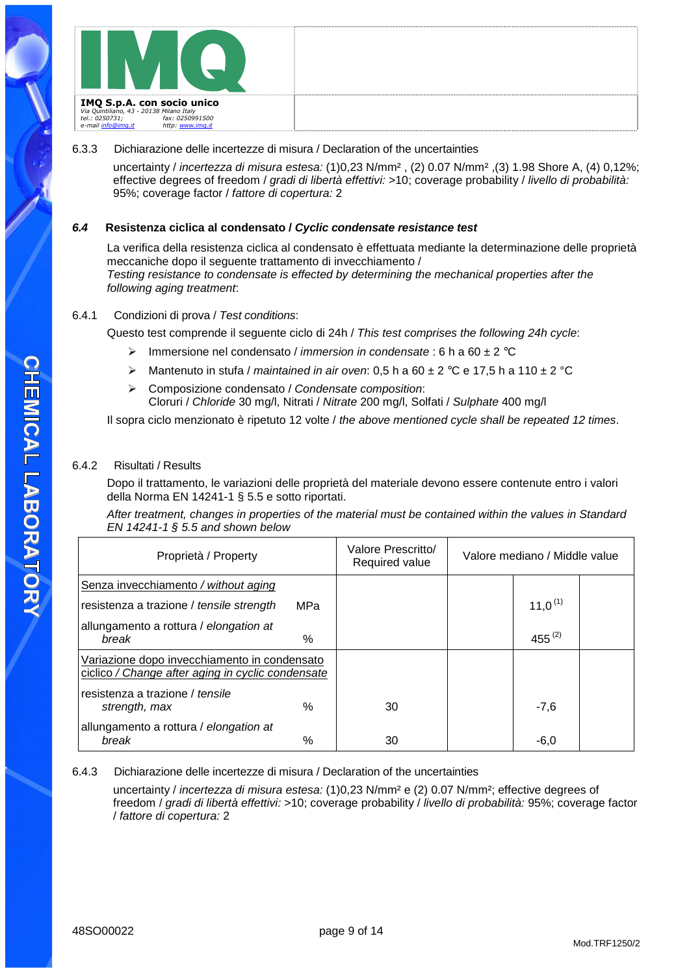#### 6.3.3 Dichiarazione delle incertezze di misura / Declaration of the uncertainties

uncertainty / incertezza di misura estesa: (1)0,23 N/mm² , (2) 0.07 N/mm² ,(3) 1.98 Shore A, (4) 0,12%; effective degrees of freedom / gradi di libertà effettivi: >10; coverage probability / livello di probabilità: 95%; coverage factor / fattore di copertura: 2

#### **6.4 Resistenza ciclica al condensato / Cyclic condensate resistance test**

La verifica della resistenza ciclica al condensato è effettuata mediante la determinazione delle proprietà meccaniche dopo il seguente trattamento di invecchiamento / Testing resistance to condensate is effected by determining the mechanical properties after the following aging treatment:

#### 6.4.1 Condizioni di prova / Test conditions:

Questo test comprende il seguente ciclo di 24h / This test comprises the following 24h cycle:

- $\triangleright$  Immersione nel condensato / *immersion in condensate* : 6 h a 60  $\pm$  2 °C
- $\triangleright$  Mantenuto in stufa / maintained in air oven: 0,5 h a 60  $\pm$  2 °C e 17,5 h a 110  $\pm$  2 °C
- $\triangleright$  Composizione condensato / Condensate composition: Cloruri / Chloride 30 mg/l, Nitrati / Nitrate 200 mg/l, Solfati / Sulphate 400 mg/l

Il sopra ciclo menzionato è ripetuto 12 volte / the above mentioned cycle shall be repeated 12 times.

#### 6.4.2 Risultati / Results

Dopo il trattamento, le variazioni delle proprietà del materiale devono essere contenute entro i valori della Norma EN 14241-1 § 5.5 e sotto riportati.

After treatment, changes in properties of the material must be contained within the values in Standard EN 14241-1 § 5.5 and shown below

| Proprietà / Property                                                                              |      | Valore Prescritto/<br>Required value | Valore mediano / Middle value |  |
|---------------------------------------------------------------------------------------------------|------|--------------------------------------|-------------------------------|--|
| Senza invecchiamento / without aging                                                              |      |                                      |                               |  |
| resistenza a trazione / tensile strength                                                          | MPa  |                                      | 11,0 <sup>(1)</sup>           |  |
| allungamento a rottura / elongation at<br>break                                                   | $\%$ |                                      | 455 $(2)$                     |  |
| Variazione dopo invecchiamento in condensato<br>ciclico / Change after aging in cyclic condensate |      |                                      |                               |  |
| resistenza a trazione / tensile<br>strength, max                                                  | %    | 30                                   | $-7,6$                        |  |
| allungamento a rottura / elongation at<br>break                                                   | %    | 30                                   | $-6,0$                        |  |

6.4.3 Dichiarazione delle incertezze di misura / Declaration of the uncertainties

uncertainty / incertezza di misura estesa: (1)0,23 N/mm² e (2) 0.07 N/mm²; effective degrees of freedom / gradi di libertà effettivi: >10; coverage probability / livello di probabilità: 95%; coverage factor / fattore di copertura: 2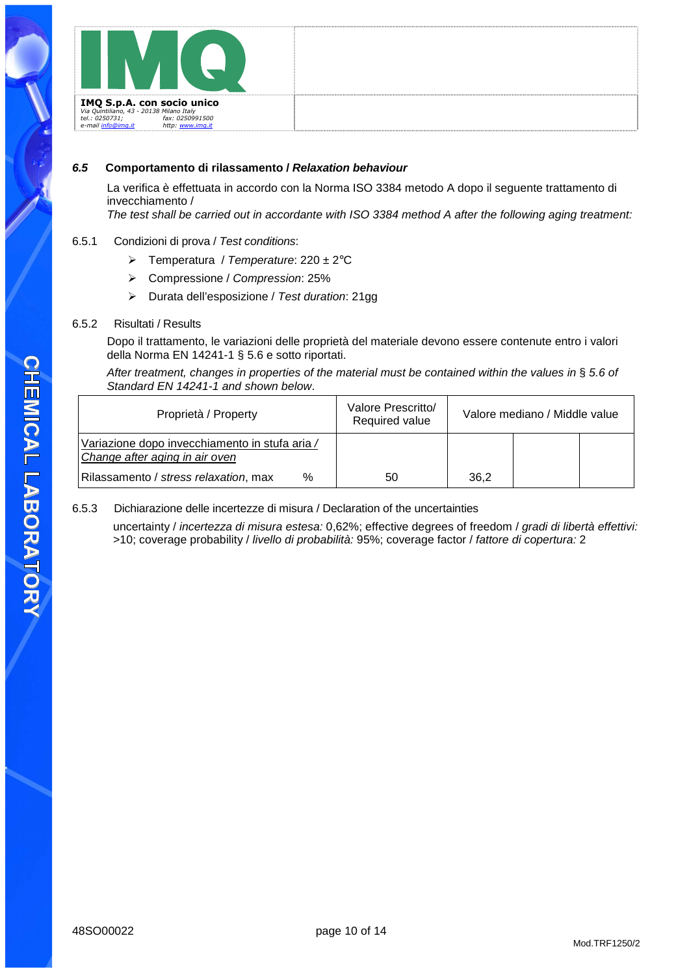

#### **6.5 Comportamento di rilassamento / Relaxation behaviour**

La verifica è effettuata in accordo con la Norma ISO 3384 metodo A dopo il seguente trattamento di invecchiamento /

The test shall be carried out in accordante with ISO 3384 method A after the following aging treatment:

#### 6.5.1 Condizioni di prova / Test conditions:

- $\triangleright$  Temperatura / Temperature: 220 ± 2°C
- Compressione / Compression: 25%
- Durata dell'esposizione / Test duration: 21gg

#### 6.5.2 Risultati / Results

Dopo il trattamento, le variazioni delle proprietà del materiale devono essere contenute entro i valori della Norma EN 14241-1 § 5.6 e sotto riportati.

After treatment, changes in properties of the material must be contained within the values in § 5.6 of Standard EN 14241-1 and shown below.

| Proprietà / Property                                                             | Valore Prescritto/<br>Required value |      | Valore mediano / Middle value |  |
|----------------------------------------------------------------------------------|--------------------------------------|------|-------------------------------|--|
| Variazione dopo invecchiamento in stufa aria /<br>Change after aging in air oven |                                      |      |                               |  |
| Rilassamento / stress relaxation, max<br>$\%$                                    | 50                                   | 36.2 |                               |  |

#### 6.5.3 Dichiarazione delle incertezze di misura / Declaration of the uncertainties

uncertainty / incertezza di misura estesa: 0,62%; effective degrees of freedom / gradi di libertà effettivi: >10; coverage probability / livello di probabilità: 95%; coverage factor / fattore di copertura: 2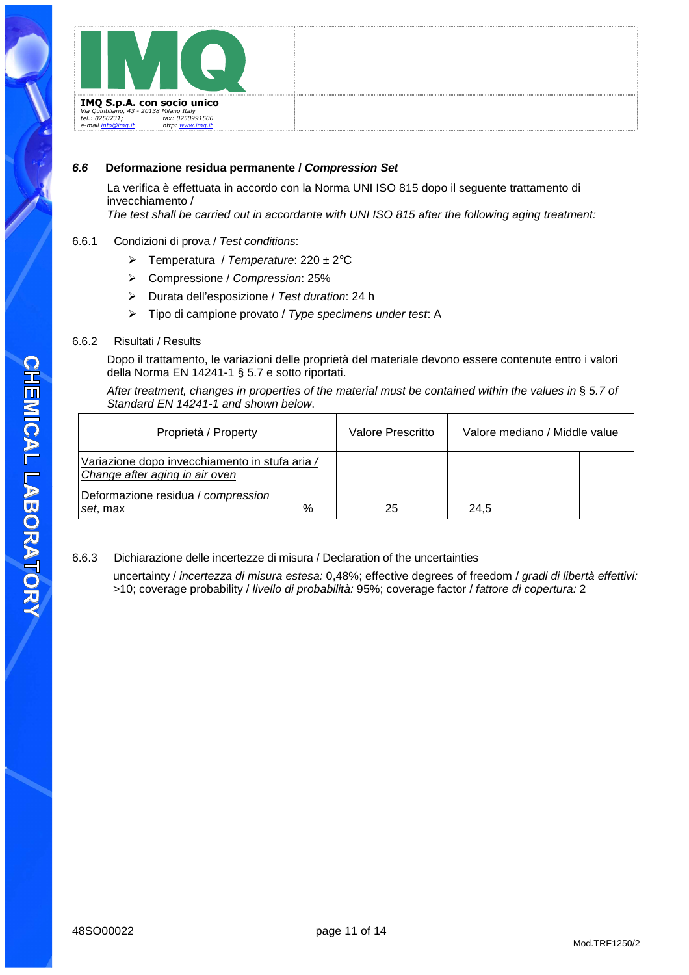

#### **6.6 Deformazione residua permanente / Compression Set**

La verifica è effettuata in accordo con la Norma UNI ISO 815 dopo il seguente trattamento di invecchiamento /

The test shall be carried out in accordante with UNI ISO 815 after the following aging treatment:

#### 6.6.1 Condizioni di prova / Test conditions:

- $\triangleright$  Temperatura / Temperature: 220 ± 2°C
- Compressione / Compression: 25%
- Durata dell'esposizione / Test duration: 24 h
- $\triangleright$  Tipo di campione provato / Type specimens under test. A

#### 6.6.2 Risultati / Results

Dopo il trattamento, le variazioni delle proprietà del materiale devono essere contenute entro i valori della Norma EN 14241-1 § 5.7 e sotto riportati.

After treatment, changes in properties of the material must be contained within the values in § 5.7 of Standard EN 14241-1 and shown below.

| Proprietà / Property                                                             |   | Valore Prescritto |      | Valore mediano / Middle value |  |
|----------------------------------------------------------------------------------|---|-------------------|------|-------------------------------|--|
| Variazione dopo invecchiamento in stufa aria /<br>Change after aging in air oven |   |                   |      |                               |  |
| Deformazione residua / compression<br>set, max                                   | % | 25                | 24.5 |                               |  |

#### 6.6.3 Dichiarazione delle incertezze di misura / Declaration of the uncertainties

uncertainty / incertezza di misura estesa: 0,48%; effective degrees of freedom / gradi di libertà effettivi: >10; coverage probability / livello di probabilità: 95%; coverage factor / fattore di copertura: 2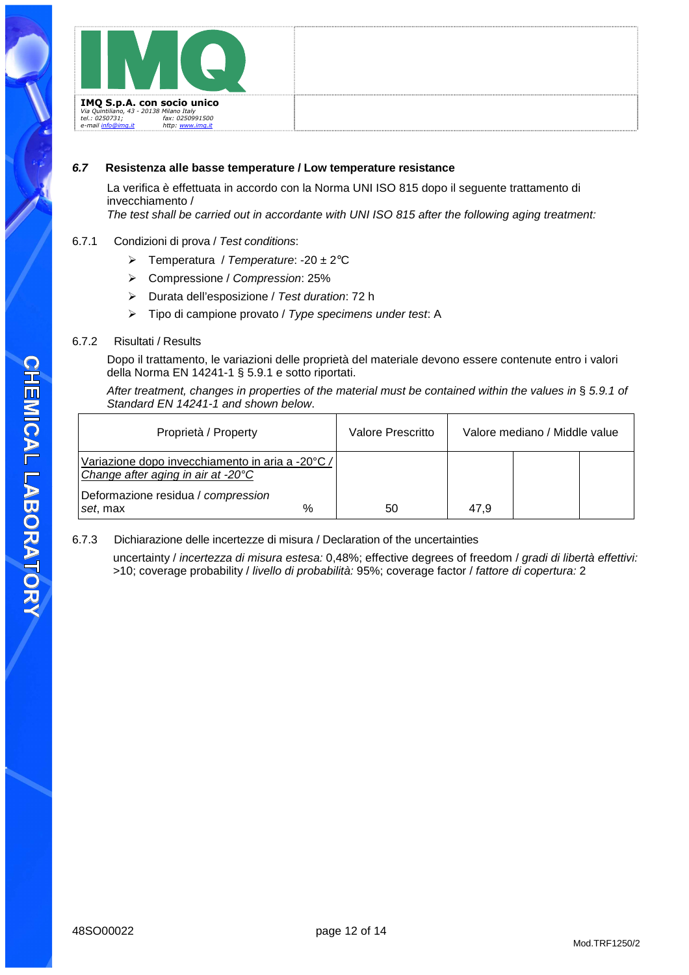

#### **6.7 Resistenza alle basse temperature / Low temperature resistance**

La verifica è effettuata in accordo con la Norma UNI ISO 815 dopo il seguente trattamento di invecchiamento /

The test shall be carried out in accordante with UNI ISO 815 after the following aging treatment:

#### 6.7.1 Condizioni di prova / Test conditions:

- $\triangleright$  Temperatura / Temperature: -20 ± 2°C
- Compressione / Compression: 25%
- Durata dell'esposizione / Test duration: 72 h
- $\triangleright$  Tipo di campione provato / Type specimens under test. A

#### 6.7.2 Risultati / Results

Dopo il trattamento, le variazioni delle proprietà del materiale devono essere contenute entro i valori della Norma EN 14241-1 § 5.9.1 e sotto riportati.

After treatment, changes in properties of the material must be contained within the values in § 5.9.1 of Standard EN 14241-1 and shown below.

| Proprietà / Property                                                                   |      | Valore Prescritto |      | Valore mediano / Middle value |  |
|----------------------------------------------------------------------------------------|------|-------------------|------|-------------------------------|--|
| Variazione dopo invecchiamento in aria a -20°C /<br>Change after aging in air at -20°C |      |                   |      |                               |  |
| Deformazione residua / compression<br>set, max                                         | $\%$ | 50                | 47.9 |                               |  |

#### 6.7.3 Dichiarazione delle incertezze di misura / Declaration of the uncertainties

uncertainty / incertezza di misura estesa: 0,48%; effective degrees of freedom / gradi di libertà effettivi: >10; coverage probability / livello di probabilità: 95%; coverage factor / fattore di copertura: 2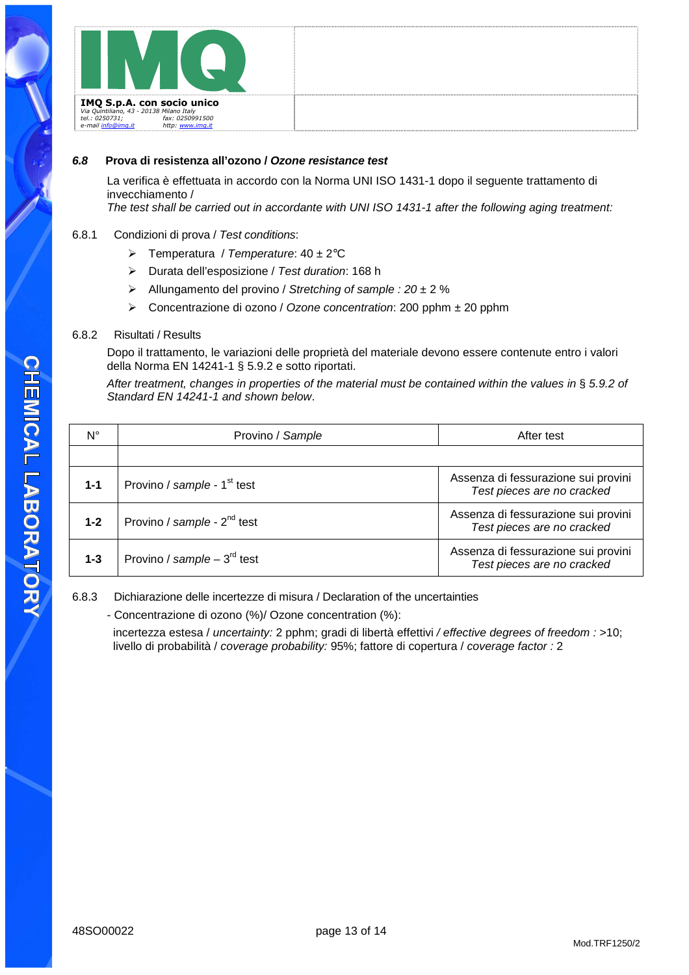

#### **6.8 Prova di resistenza all'ozono / Ozone resistance test**

La verifica è effettuata in accordo con la Norma UNI ISO 1431-1 dopo il seguente trattamento di invecchiamento /

The test shall be carried out in accordante with UNI ISO 1431-1 after the following aging treatment:

#### 6.8.1 Condizioni di prova / Test conditions:

- $\triangleright$  Temperatura / Temperature: 40 ± 2°C
- Durata dell'esposizione / Test duration: 168 h
- Allungamento del provino / Stretching of sample :  $20 \pm 2$  %
- $\triangleright$  Concentrazione di ozono / Ozone concentration: 200 pphm  $\pm$  20 pphm

#### 6.8.2 Risultati / Results

Dopo il trattamento, le variazioni delle proprietà del materiale devono essere contenute entro i valori della Norma EN 14241-1 § 5.9.2 e sotto riportati.

After treatment, changes in properties of the material must be contained within the values in § 5.9.2 of Standard EN 14241-1 and shown below.

| $N^{\circ}$ | Provino / Sample                        | After test                                                        |
|-------------|-----------------------------------------|-------------------------------------------------------------------|
|             |                                         |                                                                   |
| $1 - 1$     | Provino / sample - 1 <sup>st</sup> test | Assenza di fessurazione sui provini<br>Test pieces are no cracked |
| $1 - 2$     | Provino / sample - $2^{nd}$ test        | Assenza di fessurazione sui provini<br>Test pieces are no cracked |
| $1 - 3$     | Provino / sample $-3^{rd}$ test         | Assenza di fessurazione sui provini<br>Test pieces are no cracked |

6.8.3 Dichiarazione delle incertezze di misura / Declaration of the uncertainties

- Concentrazione di ozono (%)/ Ozone concentration (%):

incertezza estesa / uncertainty: 2 pphm; gradi di libertà effettivi / effective degrees of freedom : >10; livello di probabilità / coverage probability: 95%; fattore di copertura / coverage factor : 2